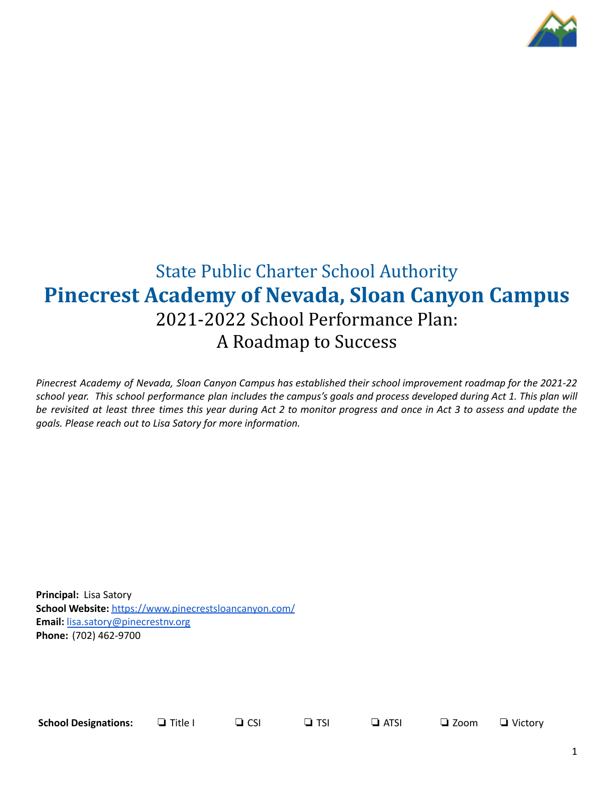

# State Public Charter School Authority **Pinecrest Academy of Nevada, Sloan Canyon Campus** 2021-2022 School Performance Plan: A Roadmap to Success

Pinecrest Academy of Nevada, Sloan Canyon Campus has established their school improvement roadmap for the 2021-22 school year. This school performance plan includes the campus's goals and process developed during Act 1. This plan will be revisited at least three times this year during Act 2 to monitor progress and once in Act 3 to assess and update the *goals. Please reach out to Lisa Satory for more information.*

**Principal:** Lisa Satory **School Website:** <https://www.pinecrestsloancanyon.com/> **Email:** [lisa.satory@pinecrestnv.org](mailto:lisa.satory@pinecrestnv.org) **Phone:** (702) 462-9700

**School Designations:** ❏ Title I ❏ CSI ❏ TSI ❏ ATSI ❏ Zoom ❏ Victory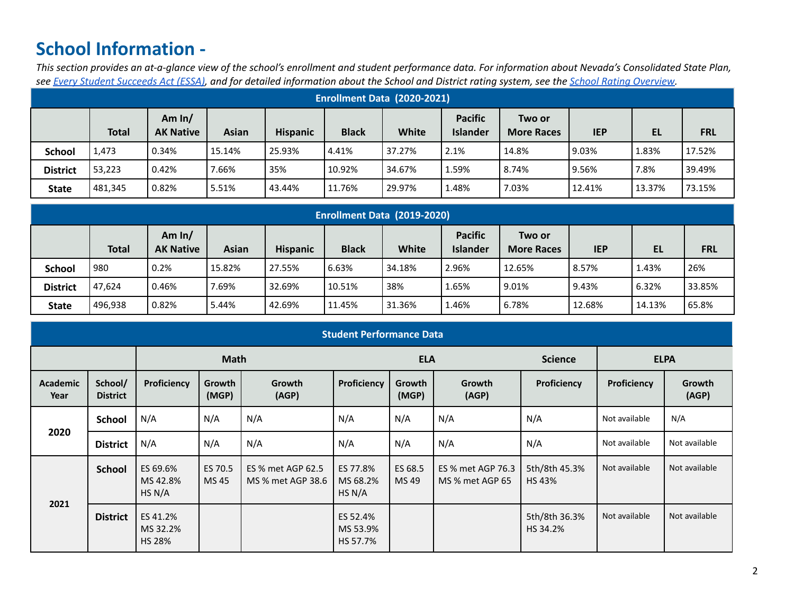# **School Information -**

This section provides an at-a-glance view of the school's enrollment and student performance data. For information about Nevada's Consolidated State Plan, see Every Student [Succeeds](https://doe.nv.gov/uploadedFiles/ndedoenvgov/content/Boards_Commissions_Councils/ESSA_Adv_Group/NevadaSubmittedConsolidatedPlanFinal.pdf) Act (ESSA), and for detailed information about the School and District rating system, see the School Rating [Overview](http://nevadareportcard.nv.gov/DI/MoreDownload?filename=Nevadas%20School%20Rating%20System.pdf).

| <b>Enrollment Data (2020-2021)</b> |              |                              |              |                 |              |        |                                   |                             |            |           |            |
|------------------------------------|--------------|------------------------------|--------------|-----------------|--------------|--------|-----------------------------------|-----------------------------|------------|-----------|------------|
|                                    | <b>Total</b> | Am $ln/$<br><b>AK Native</b> | <b>Asian</b> | <b>Hispanic</b> | <b>Black</b> | White  | <b>Pacific</b><br><b>Islander</b> | Two or<br><b>More Races</b> | <b>IEP</b> | <b>EL</b> | <b>FRL</b> |
| <b>School</b>                      | 1,473        | 0.34%                        | 15.14%       | 25.93%          | 4.41%        | 37.27% | 2.1%                              | 14.8%                       | 9.03%      | 1.83%     | 17.52%     |
| <b>District</b>                    | 53.223       | 0.42%                        | 7.66%        | 35%             | 10.92%       | 34.67% | 1.59%                             | 8.74%                       | 9.56%      | 7.8%      | 39.49%     |
| <b>State</b>                       | 481,345      | 0.82%                        | 5.51%        | 43.44%          | 11.76%       | 29.97% | 1.48%                             | 7.03%                       | 12.41%     | 13.37%    | 73.15%     |

|                 | Enrollment Data (2019-2020) |                              |        |                 |              |        |                                   |                             |            |        |            |
|-----------------|-----------------------------|------------------------------|--------|-----------------|--------------|--------|-----------------------------------|-----------------------------|------------|--------|------------|
|                 | <b>Total</b>                | Am $ln/$<br><b>AK Native</b> | Asian  | <b>Hispanic</b> | <b>Black</b> | White  | <b>Pacific</b><br><b>Islander</b> | Two or<br><b>More Races</b> | <b>IEP</b> | EL     | <b>FRL</b> |
| <b>School</b>   | 980                         | 0.2%                         | 15.82% | 27.55%          | 6.63%        | 34.18% | 2.96%                             | 12.65%                      | 8.57%      | 1.43%  | 26%        |
| <b>District</b> | 47.624                      | 0.46%                        | 7.69%  | 32.69%          | 10.51%       | 38%    | 1.65%                             | 9.01%                       | 9.43%      | 6.32%  | 33.85%     |
| <b>State</b>    | 496,938                     | 0.82%                        | 5.44%  | 42.69%          | 11.45%       | 31.36% | 1.46%                             | 6.78%                       | 12.68%     | 14.13% | 65.8%      |

|                  | <b>Student Performance Data</b> |                                       |                  |                                        |                                  |                  |                                      |                               |               |                 |
|------------------|---------------------------------|---------------------------------------|------------------|----------------------------------------|----------------------------------|------------------|--------------------------------------|-------------------------------|---------------|-----------------|
| <b>Math</b>      |                                 |                                       | <b>ELA</b>       |                                        |                                  | <b>Science</b>   |                                      | <b>ELPA</b>                   |               |                 |
| Academic<br>Year | School/<br><b>District</b>      | Proficiency                           | Growth<br>(MGP)  | Growth<br>(AGP)                        | Proficiency                      | Growth<br>(MGP)  | <b>Growth</b><br>(AGP)               | Proficiency                   | Proficiency   | Growth<br>(AGP) |
|                  | <b>School</b>                   | N/A                                   | N/A              | N/A                                    | N/A                              | N/A              | N/A                                  | N/A                           | Not available | N/A             |
| 2020             | <b>District</b>                 | N/A                                   | N/A              | N/A                                    | N/A                              | N/A              | N/A                                  | N/A                           | Not available | Not available   |
|                  | <b>School</b>                   | ES 69.6%<br>MS 42.8%<br>HS N/A        | ES 70.5<br>MS 45 | ES % met AGP 62.5<br>MS % met AGP 38.6 | ES 77.8%<br>MS 68.2%<br>HS N/A   | ES 68.5<br>MS 49 | ES % met AGP 76.3<br>MS % met AGP 65 | 5th/8th 45.3%<br><b>HS43%</b> | Not available | Not available   |
| 2021             | <b>District</b>                 | ES 41.2%<br>MS 32.2%<br><b>HS 28%</b> |                  |                                        | ES 52.4%<br>MS 53.9%<br>HS 57.7% |                  |                                      | 5th/8th 36.3%<br>HS 34.2%     | Not available | Not available   |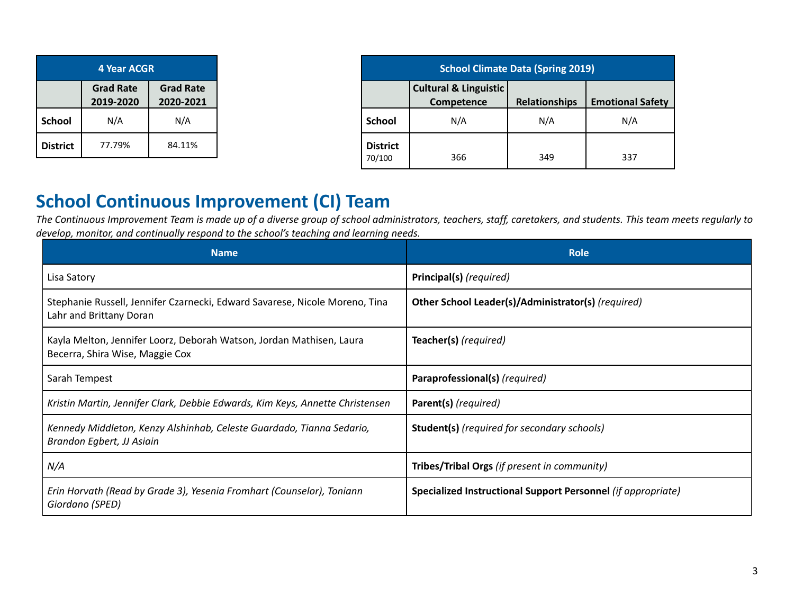| 4 Year ACGR                                                    |        |        |  |  |  |
|----------------------------------------------------------------|--------|--------|--|--|--|
| <b>Grad Rate</b><br><b>Grad Rate</b><br>2019-2020<br>2020-2021 |        |        |  |  |  |
| <b>School</b>                                                  | N/A    | N/A    |  |  |  |
| <b>District</b>                                                | 77.79% | 84.11% |  |  |  |

| <b>School Climate Data (Spring 2019)</b> |                                                |                      |                         |  |  |
|------------------------------------------|------------------------------------------------|----------------------|-------------------------|--|--|
|                                          | <b>Cultural &amp; Linguistic</b><br>Competence | <b>Relationships</b> | <b>Emotional Safety</b> |  |  |
| <b>School</b>                            | N/A                                            | N/A                  | N/A                     |  |  |
| <b>District</b><br>70/100                | 366                                            | 349                  | 337                     |  |  |

## **School Continuous Improvement (CI) Team**

The Continuous Improvement Team is made up of a diverse group of school administrators, teachers, staff, caretakers, and students. This team meets regularly to *develop, monitor, and continually respond to the school's teaching and learning needs.*

| <b>Name</b>                                                                                             | <b>Role</b>                                                  |
|---------------------------------------------------------------------------------------------------------|--------------------------------------------------------------|
| Lisa Satory                                                                                             | Principal(s) (required)                                      |
| Stephanie Russell, Jennifer Czarnecki, Edward Savarese, Nicole Moreno, Tina<br>Lahr and Brittany Doran  | Other School Leader(s)/Administrator(s) (required)           |
| Kayla Melton, Jennifer Loorz, Deborah Watson, Jordan Mathisen, Laura<br>Becerra, Shira Wise, Maggie Cox | Teacher(s) (required)                                        |
| Sarah Tempest                                                                                           | Paraprofessional(s) (required)                               |
| Kristin Martin, Jennifer Clark, Debbie Edwards, Kim Keys, Annette Christensen                           | Parent(s) (required)                                         |
| Kennedy Middleton, Kenzy Alshinhab, Celeste Guardado, Tianna Sedario,<br>Brandon Egbert, JJ Asiain      | <b>Student(s)</b> (required for secondary schools)           |
| N/A                                                                                                     | Tribes/Tribal Orgs (if present in community)                 |
| Erin Horvath (Read by Grade 3), Yesenia Fromhart (Counselor), Toniann<br>Giordano (SPED)                | Specialized Instructional Support Personnel (if appropriate) |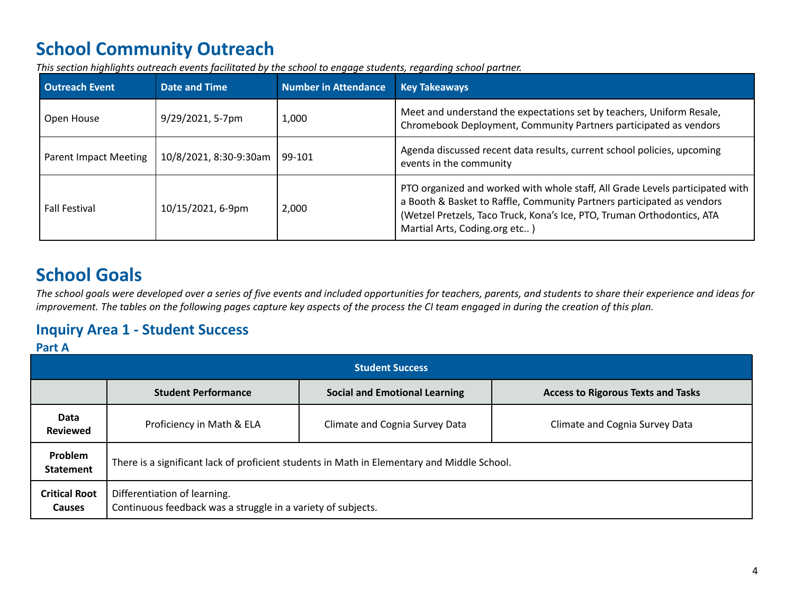# **School Community Outreach**

*This section highlights outreach events facilitated by the school to engage students, regarding school partner.*

| <b>Outreach Event</b> | Date and Time          | <b>Number in Attendance</b> | <b>Key Takeaways</b>                                                                                                                                                                                                                                                |
|-----------------------|------------------------|-----------------------------|---------------------------------------------------------------------------------------------------------------------------------------------------------------------------------------------------------------------------------------------------------------------|
| Open House            | 9/29/2021, 5-7pm       | 1,000                       | Meet and understand the expectations set by teachers, Uniform Resale,<br>Chromebook Deployment, Community Partners participated as vendors                                                                                                                          |
| Parent Impact Meeting | 10/8/2021, 8:30-9:30am | 99-101                      | Agenda discussed recent data results, current school policies, upcoming<br>events in the community                                                                                                                                                                  |
| <b>Fall Festival</b>  | 10/15/2021, 6-9pm      | 2,000                       | PTO organized and worked with whole staff, All Grade Levels participated with<br>a Booth & Basket to Raffle, Community Partners participated as vendors<br>(Wetzel Pretzels, Taco Truck, Kona's Ice, PTO, Truman Orthodontics, ATA<br>Martial Arts, Coding.org etc) |

# **School Goals**

The school goals were developed over a series of five events and included opportunities for teachers, parents, and students to share their experience and ideas for improvement. The tables on the following pages capture key aspects of the process the CI team engaged in during the creation of this plan.

## **Inquiry Area 1 - Student Success**

## **Part A**

|                                       | <b>Student Success</b>                                                                       |                                      |                                           |  |  |  |  |
|---------------------------------------|----------------------------------------------------------------------------------------------|--------------------------------------|-------------------------------------------|--|--|--|--|
|                                       | <b>Student Performance</b>                                                                   | <b>Social and Emotional Learning</b> | <b>Access to Rigorous Texts and Tasks</b> |  |  |  |  |
| Data<br><b>Reviewed</b>               | Proficiency in Math & ELA                                                                    | Climate and Cognia Survey Data       | Climate and Cognia Survey Data            |  |  |  |  |
| Problem<br><b>Statement</b>           | There is a significant lack of proficient students in Math in Elementary and Middle School.  |                                      |                                           |  |  |  |  |
| <b>Critical Root</b><br><b>Causes</b> | Differentiation of learning.<br>Continuous feedback was a struggle in a variety of subjects. |                                      |                                           |  |  |  |  |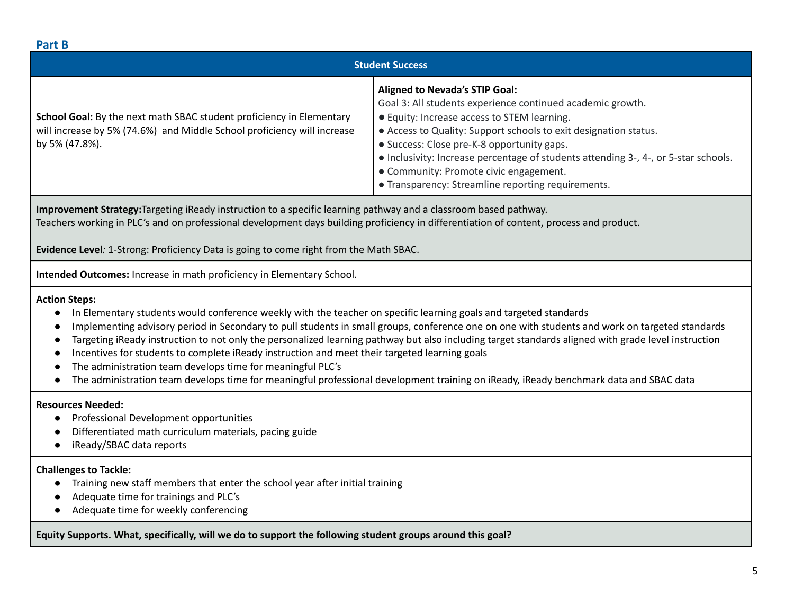## **Part B**

| rai u D                                                                                                                                                                                                                                                                                                                                                                                                                                                                                                                                                                                                                                                                                                                                                    |                        |  |  |  |
|------------------------------------------------------------------------------------------------------------------------------------------------------------------------------------------------------------------------------------------------------------------------------------------------------------------------------------------------------------------------------------------------------------------------------------------------------------------------------------------------------------------------------------------------------------------------------------------------------------------------------------------------------------------------------------------------------------------------------------------------------------|------------------------|--|--|--|
|                                                                                                                                                                                                                                                                                                                                                                                                                                                                                                                                                                                                                                                                                                                                                            | <b>Student Success</b> |  |  |  |
| <b>Aligned to Nevada's STIP Goal:</b><br>Goal 3: All students experience continued academic growth.<br>School Goal: By the next math SBAC student proficiency in Elementary<br><b>•</b> Equity: Increase access to STEM learning.<br>will increase by 5% (74.6%) and Middle School proficiency will increase<br>• Access to Quality: Support schools to exit designation status.<br>· Success: Close pre-K-8 opportunity gaps.<br>by 5% (47.8%).<br>• Inclusivity: Increase percentage of students attending 3-, 4-, or 5-star schools.<br>• Community: Promote civic engagement.<br>• Transparency: Streamline reporting requirements.                                                                                                                    |                        |  |  |  |
| Improvement Strategy: Targeting iReady instruction to a specific learning pathway and a classroom based pathway.<br>Teachers working in PLC's and on professional development days building proficiency in differentiation of content, process and product.<br>Evidence Level: 1-Strong: Proficiency Data is going to come right from the Math SBAC.                                                                                                                                                                                                                                                                                                                                                                                                       |                        |  |  |  |
| Intended Outcomes: Increase in math proficiency in Elementary School.                                                                                                                                                                                                                                                                                                                                                                                                                                                                                                                                                                                                                                                                                      |                        |  |  |  |
| <b>Action Steps:</b><br>In Elementary students would conference weekly with the teacher on specific learning goals and targeted standards<br>Implementing advisory period in Secondary to pull students in small groups, conference one on one with students and work on targeted standards<br>Targeting iReady instruction to not only the personalized learning pathway but also including target standards aligned with grade level instruction<br>Incentives for students to complete iReady instruction and meet their targeted learning goals<br>The administration team develops time for meaningful PLC's<br>The administration team develops time for meaningful professional development training on iReady, iReady benchmark data and SBAC data |                        |  |  |  |
| <b>Resources Needed:</b><br>Professional Development opportunities<br>$\bullet$<br>Differentiated math curriculum materials, pacing guide<br>iReady/SBAC data reports                                                                                                                                                                                                                                                                                                                                                                                                                                                                                                                                                                                      |                        |  |  |  |
| <b>Challenges to Tackle:</b><br>Training new staff members that enter the school year after initial training<br>Adequate time for trainings and PLC's<br>Adequate time for weekly conferencing                                                                                                                                                                                                                                                                                                                                                                                                                                                                                                                                                             |                        |  |  |  |
| Equity Supports. What, specifically, will we do to support the following student groups around this goal?                                                                                                                                                                                                                                                                                                                                                                                                                                                                                                                                                                                                                                                  |                        |  |  |  |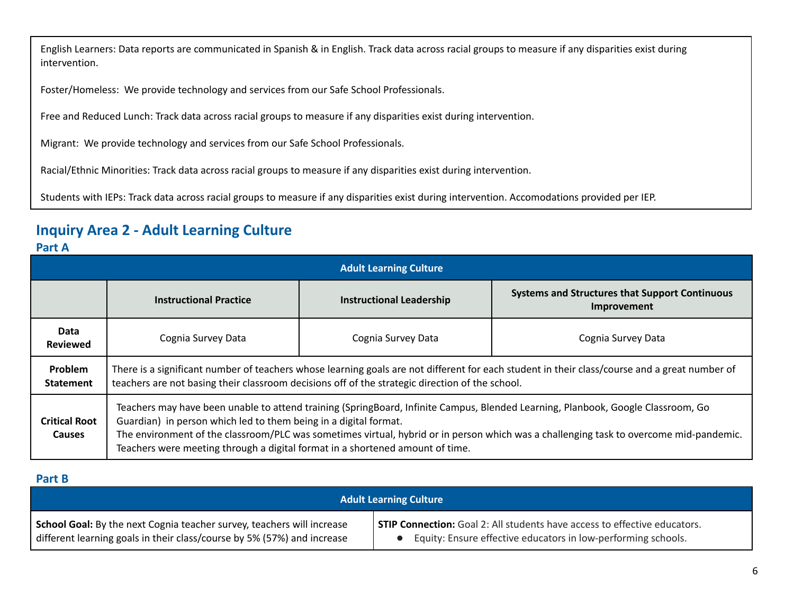English Learners: Data reports are communicated in Spanish & in English. Track data across racial groups to measure if any disparities exist during intervention.

Foster/Homeless: We provide technology and services from our Safe School Professionals.

Free and Reduced Lunch: Track data across racial groups to measure if any disparities exist during intervention.

Migrant: We provide technology and services from our Safe School Professionals.

Racial/Ethnic Minorities: Track data across racial groups to measure if any disparities exist during intervention.

Students with IEPs: Track data across racial groups to measure if any disparities exist during intervention. Accomodations provided per IEP.

## **Inquiry Area 2 - Adult Learning Culture**

## **Part A**

|                                       | <b>Adult Learning Culture</b>                                                                                                                                                                                                                                                                                                                                                                                                   |                                 |                                                                      |  |  |  |
|---------------------------------------|---------------------------------------------------------------------------------------------------------------------------------------------------------------------------------------------------------------------------------------------------------------------------------------------------------------------------------------------------------------------------------------------------------------------------------|---------------------------------|----------------------------------------------------------------------|--|--|--|
|                                       | <b>Instructional Practice</b>                                                                                                                                                                                                                                                                                                                                                                                                   | <b>Instructional Leadership</b> | <b>Systems and Structures that Support Continuous</b><br>Improvement |  |  |  |
| Data<br><b>Reviewed</b>               | Cognia Survey Data<br>Cognia Survey Data<br>Cognia Survey Data                                                                                                                                                                                                                                                                                                                                                                  |                                 |                                                                      |  |  |  |
| <b>Problem</b><br><b>Statement</b>    | There is a significant number of teachers whose learning goals are not different for each student in their class/course and a great number of<br>teachers are not basing their classroom decisions off of the strategic direction of the school.                                                                                                                                                                                |                                 |                                                                      |  |  |  |
| <b>Critical Root</b><br><b>Causes</b> | Teachers may have been unable to attend training (SpringBoard, Infinite Campus, Blended Learning, Planbook, Google Classroom, Go<br>Guardian) in person which led to them being in a digital format.<br>The environment of the classroom/PLC was sometimes virtual, hybrid or in person which was a challenging task to overcome mid-pandemic.<br>Teachers were meeting through a digital format in a shortened amount of time. |                                 |                                                                      |  |  |  |

### **Part B**

| <b>Adult Learning Culture</b>                                           |                                                                                  |  |  |  |
|-------------------------------------------------------------------------|----------------------------------------------------------------------------------|--|--|--|
| School Goal: By the next Cognia teacher survey, teachers will increase  | <b>STIP Connection:</b> Goal 2: All students have access to effective educators. |  |  |  |
| different learning goals in their class/course by 5% (57%) and increase | Equity: Ensure effective educators in low-performing schools.                    |  |  |  |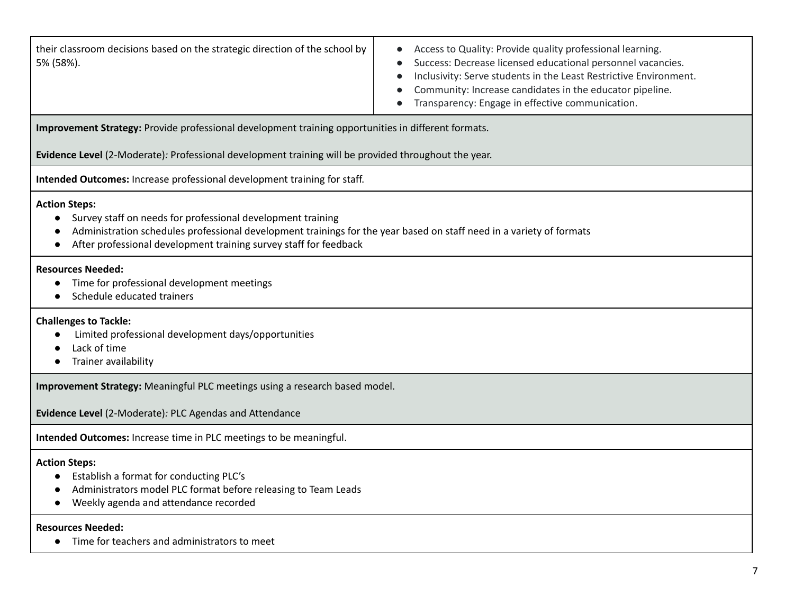| their classroom decisions based on the strategic direction of the school by<br>Access to Quality: Provide quality professional learning.<br>Success: Decrease licensed educational personnel vacancies.<br>5% (58%).<br>Inclusivity: Serve students in the Least Restrictive Environment.<br>Community: Increase candidates in the educator pipeline.<br>Transparency: Engage in effective communication. |  |  |  |  |
|-----------------------------------------------------------------------------------------------------------------------------------------------------------------------------------------------------------------------------------------------------------------------------------------------------------------------------------------------------------------------------------------------------------|--|--|--|--|
| Improvement Strategy: Provide professional development training opportunities in different formats.                                                                                                                                                                                                                                                                                                       |  |  |  |  |
| Evidence Level (2-Moderate): Professional development training will be provided throughout the year.                                                                                                                                                                                                                                                                                                      |  |  |  |  |
| Intended Outcomes: Increase professional development training for staff.                                                                                                                                                                                                                                                                                                                                  |  |  |  |  |
| <b>Action Steps:</b><br>Survey staff on needs for professional development training<br>Administration schedules professional development trainings for the year based on staff need in a variety of formats<br>After professional development training survey staff for feedback                                                                                                                          |  |  |  |  |
| <b>Resources Needed:</b><br>Time for professional development meetings<br>Schedule educated trainers                                                                                                                                                                                                                                                                                                      |  |  |  |  |
| <b>Challenges to Tackle:</b><br>Limited professional development days/opportunities<br>Lack of time<br>Trainer availability                                                                                                                                                                                                                                                                               |  |  |  |  |
| Improvement Strategy: Meaningful PLC meetings using a research based model.                                                                                                                                                                                                                                                                                                                               |  |  |  |  |
| Evidence Level (2-Moderate): PLC Agendas and Attendance                                                                                                                                                                                                                                                                                                                                                   |  |  |  |  |
| Intended Outcomes: Increase time in PLC meetings to be meaningful.                                                                                                                                                                                                                                                                                                                                        |  |  |  |  |
| <b>Action Steps:</b><br>Establish a format for conducting PLC's<br>Administrators model PLC format before releasing to Team Leads<br>Weekly agenda and attendance recorded                                                                                                                                                                                                                                |  |  |  |  |
| <b>Resources Needed:</b><br>Time for teachers and administrators to meet                                                                                                                                                                                                                                                                                                                                  |  |  |  |  |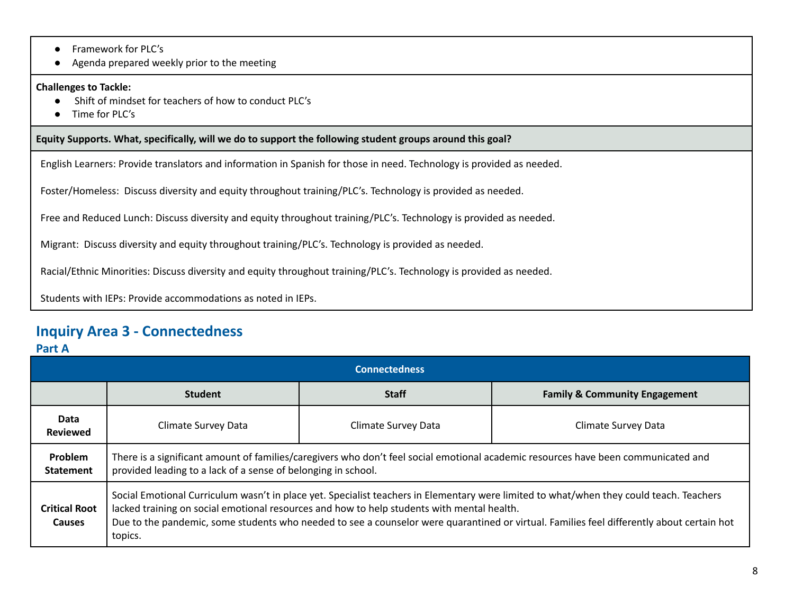- Framework for PLC's
- Agenda prepared weekly prior to the meeting

#### **Challenges to Tackle:**

- **●** Shift of mindset for teachers of how to conduct PLC's
- Time for PLC's

**Equity Supports. What, specifically, will we do to support the following student groups around this goal?**

English Learners: Provide translators and information in Spanish for those in need. Technology is provided as needed.

Foster/Homeless: Discuss diversity and equity throughout training/PLC's. Technology is provided as needed.

Free and Reduced Lunch: Discuss diversity and equity throughout training/PLC's. Technology is provided as needed.

Migrant: Discuss diversity and equity throughout training/PLC's. Technology is provided as needed.

Racial/Ethnic Minorities: Discuss diversity and equity throughout training/PLC's. Technology is provided as needed.

Students with IEPs: Provide accommodations as noted in IEPs.

## **Inquiry Area 3 - Connectedness**

### **Part A**

| <b>Connectedness</b>                  |                                                                                                                                                                                                                                                                                                                                                                                               |                     |                                          |  |  |  |  |
|---------------------------------------|-----------------------------------------------------------------------------------------------------------------------------------------------------------------------------------------------------------------------------------------------------------------------------------------------------------------------------------------------------------------------------------------------|---------------------|------------------------------------------|--|--|--|--|
|                                       | <b>Student</b>                                                                                                                                                                                                                                                                                                                                                                                | <b>Staff</b>        | <b>Family &amp; Community Engagement</b> |  |  |  |  |
| Data<br><b>Reviewed</b>               | Climate Survey Data                                                                                                                                                                                                                                                                                                                                                                           | Climate Survey Data | Climate Survey Data                      |  |  |  |  |
| <b>Problem</b><br><b>Statement</b>    | There is a significant amount of families/caregivers who don't feel social emotional academic resources have been communicated and<br>provided leading to a lack of a sense of belonging in school.                                                                                                                                                                                           |                     |                                          |  |  |  |  |
| <b>Critical Root</b><br><b>Causes</b> | Social Emotional Curriculum wasn't in place yet. Specialist teachers in Elementary were limited to what/when they could teach. Teachers<br>lacked training on social emotional resources and how to help students with mental health.<br>Due to the pandemic, some students who needed to see a counselor were quarantined or virtual. Families feel differently about certain hot<br>topics. |                     |                                          |  |  |  |  |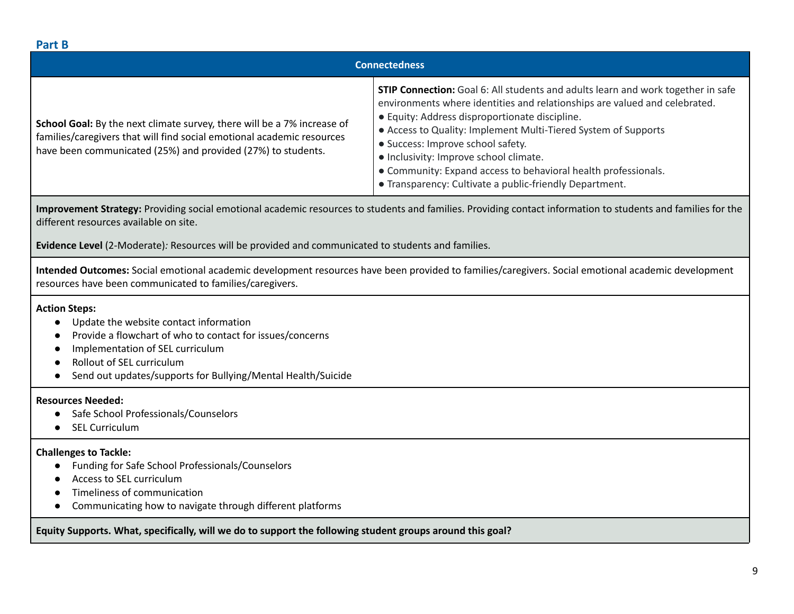#### **Part B Connectedness School Goal:** By the next climate survey, there will be a 7% increase of families/caregivers that will find social emotional academic resources have been communicated (25%) and provided (27%) to students. **STIP Connection:** Goal 6: All students and adults learn and work together in safe environments where identities and relationships are valued and celebrated. ● Equity: Address disproportionate discipline. ● Access to Quality: Implement Multi-Tiered System of Supports ● Success: Improve school safety. ● Inclusivity: Improve school climate. ● Community: Expand access to behavioral health professionals. ● Transparency: Cultivate a public-friendly Department.

**Improvement Strategy:** Providing social emotional academic resources to students and families. Providing contact information to students and families for the different resources available on site.

**Evidence Level** (2-Moderate)*:* Resources will be provided and communicated to students and families.

**Intended Outcomes:** Social emotional academic development resources have been provided to families/caregivers. Social emotional academic development resources have been communicated to families/caregivers.

### **Action Steps:**

- Update the website contact information
- Provide a flowchart of who to contact for issues/concerns
- Implementation of SEL curriculum
- Rollout of SEL curriculum
- Send out updates/supports for Bullying/Mental Health/Suicide

#### **Resources Needed:**

- **●** Safe School Professionals/Counselors
- **SEL Curriculum**

### **Challenges to Tackle:**

- Funding for Safe School Professionals/Counselors
- Access to SEL curriculum
- Timeliness of communication
- Communicating how to navigate through different platforms

**Equity Supports. What, specifically, will we do to support the following student groups around this goal?**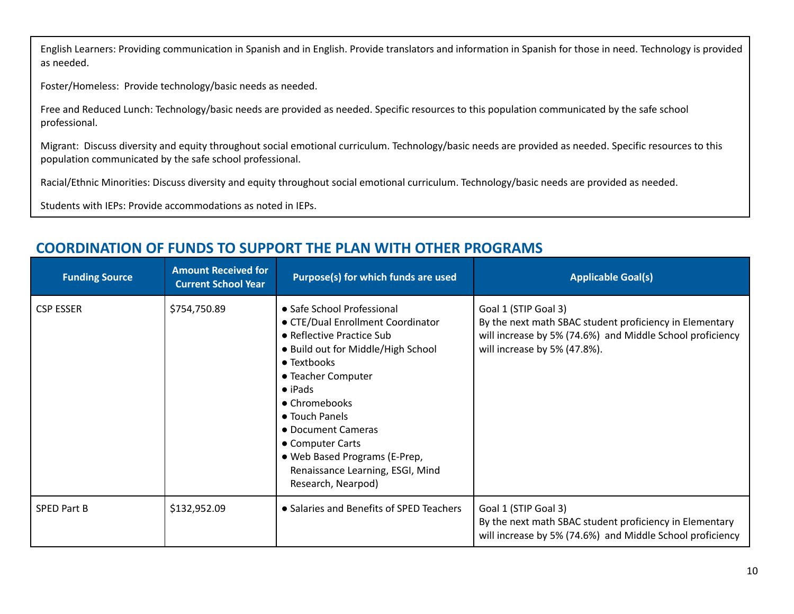English Learners: Providing communication in Spanish and in English. Provide translators and information in Spanish for those in need. Technology is provided as needed.

Foster/Homeless: Provide technology/basic needs as needed.

Free and Reduced Lunch: Technology/basic needs are provided as needed. Specific resources to this population communicated by the safe school professional.

Migrant: Discuss diversity and equity throughout social emotional curriculum. Technology/basic needs are provided as needed. Specific resources to this population communicated by the safe school professional.

Racial/Ethnic Minorities: Discuss diversity and equity throughout social emotional curriculum. Technology/basic needs are provided as needed.

Students with IEPs: Provide accommodations as noted in IEPs.

#### **Funding Source Amount Received for Current School Year Purpose(s)** for which funds are used **Applicable** Goal(s) CSP ESSER <br>
S754,750.89 ● Safe School Professional ● CTE/Dual Enrollment Coordinator ● Reflective Practice Sub ● Build out for Middle/High School ● Textbooks ● Teacher Computer ● iPads ● Chromebooks ● Touch Panels ● Document Cameras ● Computer Carts ● Web Based Programs (E-Prep, Renaissance Learning, ESGI, Mind Research, Nearpod) Goal 1 (STIP Goal 3) By the next math SBAC student proficiency in Elementary will increase by 5% (74.6%) and Middle School proficiency will increase by 5% (47.8%).  $SPED$  Part B  $\S132,952.09$   $\bullet$  Salaries and Benefits of SPED Teachers  $\S$  Goal 1 (STIP Goal 3) By the next math SBAC student proficiency in Elementary will increase by 5% (74.6%) and Middle School proficiency

## **COORDINATION OF FUNDS TO SUPPORT THE PLAN WITH OTHER PROGRAMS**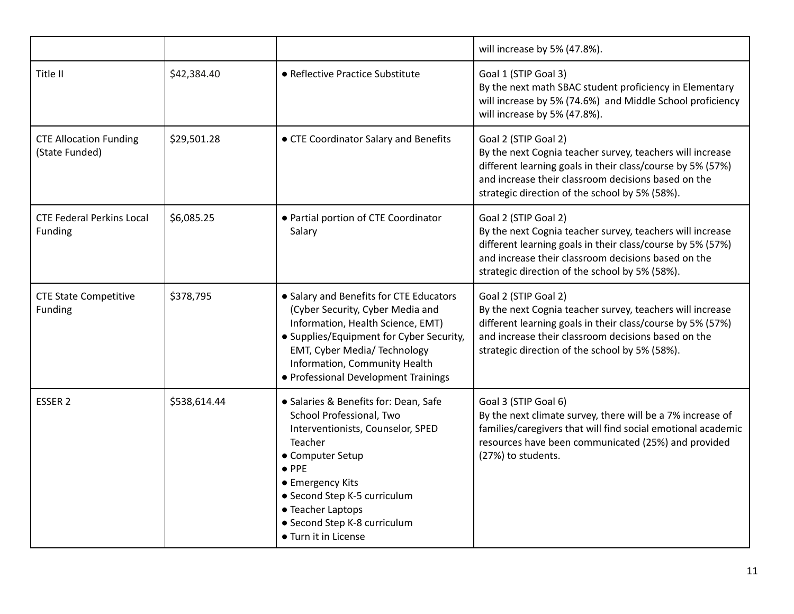|                                                 |              |                                                                                                                                                                                                                                                                                         | will increase by 5% (47.8%).                                                                                                                                                                                                                             |
|-------------------------------------------------|--------------|-----------------------------------------------------------------------------------------------------------------------------------------------------------------------------------------------------------------------------------------------------------------------------------------|----------------------------------------------------------------------------------------------------------------------------------------------------------------------------------------------------------------------------------------------------------|
| Title II                                        | \$42,384.40  | • Reflective Practice Substitute                                                                                                                                                                                                                                                        | Goal 1 (STIP Goal 3)<br>By the next math SBAC student proficiency in Elementary<br>will increase by 5% (74.6%) and Middle School proficiency<br>will increase by 5% (47.8%).                                                                             |
| <b>CTE Allocation Funding</b><br>(State Funded) | \$29,501.28  | • CTE Coordinator Salary and Benefits                                                                                                                                                                                                                                                   | Goal 2 (STIP Goal 2)<br>By the next Cognia teacher survey, teachers will increase<br>different learning goals in their class/course by 5% (57%)<br>and increase their classroom decisions based on the<br>strategic direction of the school by 5% (58%). |
| <b>CTE Federal Perkins Local</b><br>Funding     | \$6,085.25   | • Partial portion of CTE Coordinator<br>Salary                                                                                                                                                                                                                                          | Goal 2 (STIP Goal 2)<br>By the next Cognia teacher survey, teachers will increase<br>different learning goals in their class/course by 5% (57%)<br>and increase their classroom decisions based on the<br>strategic direction of the school by 5% (58%). |
| <b>CTE State Competitive</b><br>Funding         | \$378,795    | • Salary and Benefits for CTE Educators<br>(Cyber Security, Cyber Media and<br>Information, Health Science, EMT)<br>• Supplies/Equipment for Cyber Security,<br>EMT, Cyber Media/ Technology<br>Information, Community Health<br>• Professional Development Trainings                   | Goal 2 (STIP Goal 2)<br>By the next Cognia teacher survey, teachers will increase<br>different learning goals in their class/course by 5% (57%)<br>and increase their classroom decisions based on the<br>strategic direction of the school by 5% (58%). |
| ESSER <sub>2</sub>                              | \$538,614.44 | • Salaries & Benefits for: Dean, Safe<br>School Professional, Two<br>Interventionists, Counselor, SPED<br>Teacher<br>• Computer Setup<br>$\bullet$ PPE<br>• Emergency Kits<br>• Second Step K-5 curriculum<br>• Teacher Laptops<br>• Second Step K-8 curriculum<br>• Turn it in License | Goal 3 (STIP Goal 6)<br>By the next climate survey, there will be a 7% increase of<br>families/caregivers that will find social emotional academic<br>resources have been communicated (25%) and provided<br>(27%) to students.                          |